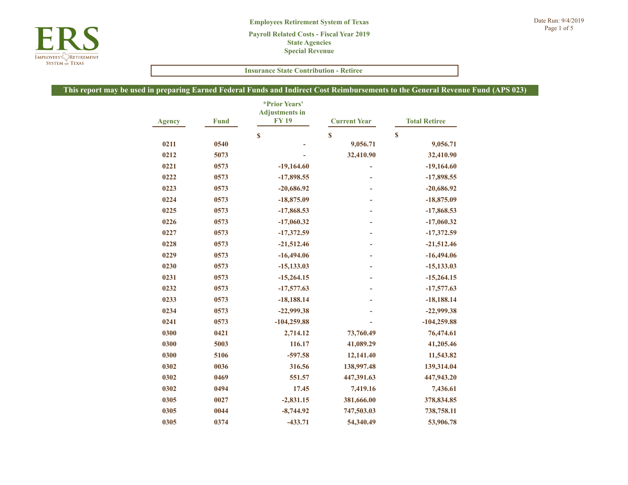|                                                                                                        |             | <b>Insurance State Contribution - Retiree</b>          |                     |                      |  |  |  |
|--------------------------------------------------------------------------------------------------------|-------------|--------------------------------------------------------|---------------------|----------------------|--|--|--|
| n preparing Earned Federal Funds and Indirect Cost Reimbursements to the General Revenue Fund (APS 023 |             |                                                        |                     |                      |  |  |  |
| <b>Agency</b>                                                                                          | <b>Fund</b> | <i>*Prior Years'</i><br><b>Adjustments in</b><br>FY 19 | <b>Current Year</b> | <b>Total Retiree</b> |  |  |  |
|                                                                                                        |             | \$                                                     | $\mathbf{s}$        | $\mathbf{s}$         |  |  |  |
| 0211                                                                                                   | 0540        |                                                        | 9,056.71            | 9,056.71             |  |  |  |
| 0212                                                                                                   | 5073        |                                                        | 32,410.90           | 32,410.90            |  |  |  |
| 0221                                                                                                   | 0573        | $-19,164.60$                                           |                     | $-19,164.60$         |  |  |  |
| 0222                                                                                                   | 0573        | $-17,898.55$                                           |                     | $-17,898.55$         |  |  |  |
| 0223                                                                                                   | 0573        | $-20,686.92$                                           |                     | $-20,686.92$         |  |  |  |
| 0224                                                                                                   | 0573        | $-18,875.09$                                           |                     | $-18,875.09$         |  |  |  |
| 0225                                                                                                   | 0573        | $-17,868.53$                                           | $\blacksquare$      | $-17,868.53$         |  |  |  |
| 0226                                                                                                   | 0573        | $-17,060.32$                                           |                     | $-17,060.32$         |  |  |  |
| 0227                                                                                                   | 0573        | $-17,372.59$                                           |                     | $-17,372.59$         |  |  |  |
| 0228                                                                                                   | 0573        | $-21,512.46$                                           |                     | $-21,512.46$         |  |  |  |
| 0229                                                                                                   | 0573        | $-16,494.06$                                           |                     | $-16,494.06$         |  |  |  |
| 0230                                                                                                   | 0573        | $-15,133.03$                                           |                     | $-15,133.03$         |  |  |  |
| 0231                                                                                                   | 0573        | $-15,264.15$                                           |                     | $-15,264.15$         |  |  |  |
| 0232                                                                                                   | 0573        | $-17,577.63$                                           |                     | $-17,577.63$         |  |  |  |
| 0233                                                                                                   | 0573        | $-18,188.14$                                           |                     | $-18,188.14$         |  |  |  |
| 0234                                                                                                   | 0573        | $-22,999.38$                                           |                     | $-22,999.38$         |  |  |  |
| 0241                                                                                                   | 0573        | $-104,259.88$                                          |                     | $-104,259.88$        |  |  |  |
| 0300                                                                                                   | 0421        | 2,714.12                                               | 73,760.49           | 76,474.61            |  |  |  |
| 0300                                                                                                   | 5003        | 116.17                                                 | 41,089.29           | 41,205.46            |  |  |  |
| 0300                                                                                                   | 5106        | $-597.58$                                              | 12,141.40           | 11,543.82            |  |  |  |
| 0302                                                                                                   | 0036        | 316.56                                                 | 138,997.48          | 139,314.04           |  |  |  |
| 0302                                                                                                   | 0469        | 551.57                                                 | 447,391.63          | 447,943.20           |  |  |  |
| 0302                                                                                                   | 0494        | 17.45                                                  | 7,419.16            | 7,436.61             |  |  |  |
| 0305                                                                                                   | 0027        | $-2,831.15$                                            | 381,666.00          | 378,834.85           |  |  |  |
| 0305                                                                                                   | 0044        | $-8,744.92$                                            | 747,503.03          | 738,758.11           |  |  |  |
| 0305                                                                                                   | 0374        | $-433.71$                                              | 54,340.49           | 53,906.78            |  |  |  |

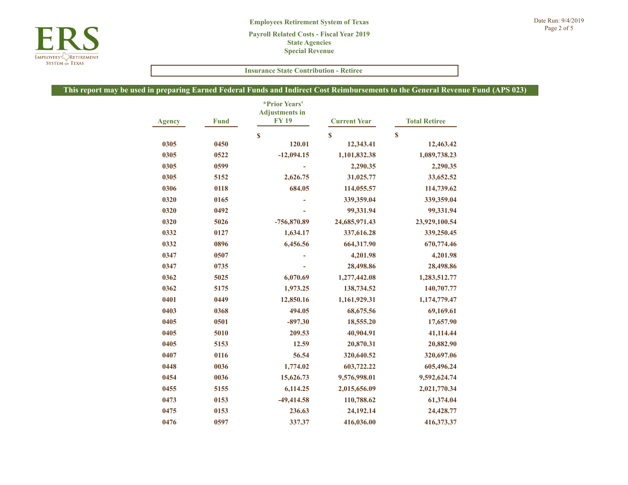

|               |             | <b>Insurance State Contribution - Retiree</b>          |                     |                                                                                                        |  |
|---------------|-------------|--------------------------------------------------------|---------------------|--------------------------------------------------------------------------------------------------------|--|
|               |             |                                                        |                     | n preparing Earned Federal Funds and Indirect Cost Reimbursements to the General Revenue Fund (APS 023 |  |
| <b>Agency</b> | <b>Fund</b> | <i>*Prior Years'</i><br><b>Adjustments in</b><br>FY 19 | <b>Current Year</b> | <b>Total Retiree</b>                                                                                   |  |
|               |             | \$                                                     | $\mathbf{s}$        | $\mathbf{s}$                                                                                           |  |
| 0305          | 0450        | 120.01                                                 | 12,343.41           | 12,463.42                                                                                              |  |
| 0305          | 0522        | $-12,094.15$                                           | 1,101,832.38        | 1,089,738.23                                                                                           |  |
| 0305          | 0599        |                                                        | 2,290.35            | 2,290.35                                                                                               |  |
| 0305          | 5152        | 2,626.75                                               | 31,025.77           | 33,652.52                                                                                              |  |
| 0306          | 0118        | 684.05                                                 | 114,055.57          | 114,739.62                                                                                             |  |
| 0320          | 0165        |                                                        | 339,359.04          | 339,359.04                                                                                             |  |
| 0320          | 0492        |                                                        | 99,331.94           | 99,331.94                                                                                              |  |
| 0320          | 5026        | -756,870.89                                            | 24,685,971.43       | 23,929,100.54                                                                                          |  |
| 0332          | 0127        | 1,634.17                                               | 337,616.28          | 339,250.45                                                                                             |  |
| 0332          | 0896        | 6,456.56                                               | 664,317.90          | 670,774.46                                                                                             |  |
| 0347          | 0507        |                                                        | 4,201.98            | 4,201.98                                                                                               |  |
| 0347          | 0735        | ÷,                                                     | 28,498.86           | 28,498.86                                                                                              |  |
| 0362          | 5025        | 6,070.69                                               | 1,277,442.08        | 1,283,512.77                                                                                           |  |
| 0362          | 5175        | 1,973.25                                               | 138,734.52          | 140,707.77                                                                                             |  |
| 0401          | 0449        | 12,850.16                                              | 1,161,929.31        | 1,174,779.47                                                                                           |  |
| 0403          | 0368        | 494.05                                                 | 68,675.56           | 69,169.61                                                                                              |  |
| 0405          | 0501        | $-897.30$                                              | 18,555.20           | 17,657.90                                                                                              |  |
| 0405          | 5010        | 209.53                                                 | 40,904.91           | 41,114.44                                                                                              |  |
| 0405          | 5153        | 12.59                                                  | 20,870.31           | 20,882.90                                                                                              |  |
| 0407          | 0116        | 56.54                                                  | 320,640.52          | 320,697.06                                                                                             |  |
| 0448          | 0036        | 1,774.02                                               | 603,722.22          | 605,496.24                                                                                             |  |
| 0454          | 0036        | 15,626.73                                              | 9,576,998.01        | 9,592,624.74                                                                                           |  |
| 0455          | 5155        | 6,114.25                                               | 2,015,656.09        | 2,021,770.34                                                                                           |  |
| 0473          | 0153        | $-49,414.58$                                           | 110,788.62          | 61,374.04                                                                                              |  |
| 0475          | 0153        | 236.63                                                 | 24,192.14           | 24,428.77                                                                                              |  |
| 0476          | 0597        | 337.37                                                 | 416,036.00          | 416,373.37                                                                                             |  |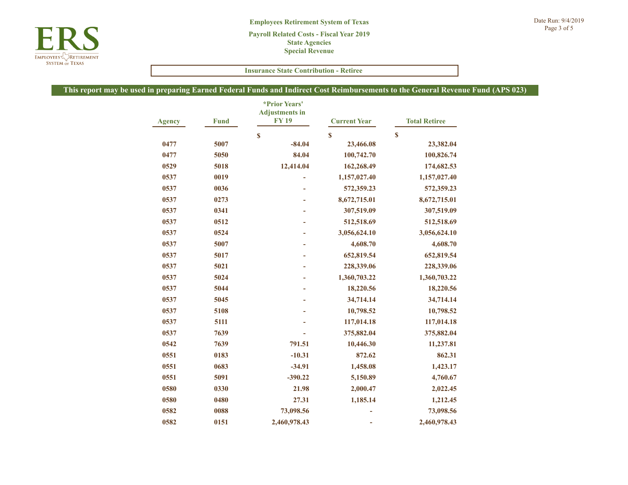|               | <b>Insurance State Contribution - Retiree</b> |                                                                                                        |                     |                      |  |
|---------------|-----------------------------------------------|--------------------------------------------------------------------------------------------------------|---------------------|----------------------|--|
|               |                                               | n preparing Earned Federal Funds and Indirect Cost Reimbursements to the General Revenue Fund (APS 023 |                     |                      |  |
| <b>Agency</b> | <b>Fund</b>                                   | *Prior Years'<br><b>Adjustments in</b><br><b>FY19</b>                                                  | <b>Current Year</b> | <b>Total Retiree</b> |  |
|               |                                               | $\mathbf{s}$                                                                                           | \$                  | \$                   |  |
| 0477          | 5007                                          | $-84.04$                                                                                               | 23,466.08           | 23,382.04            |  |
| 0477          | 5050                                          | 84.04                                                                                                  | 100,742.70          | 100,826.74           |  |
| 0529          | 5018                                          | 12,414.04                                                                                              | 162,268.49          | 174,682.53           |  |
| 0537          | 0019                                          |                                                                                                        | 1,157,027.40        | 1,157,027.40         |  |
| 0537          | 0036                                          | ÷.                                                                                                     | 572,359.23          | 572,359.23           |  |
| 0537          | 0273                                          | ۰                                                                                                      | 8,672,715.01        | 8,672,715.01         |  |
| 0537          | 0341                                          | $\overline{\phantom{a}}$                                                                               | 307,519.09          | 307,519.09           |  |
| 0537          | 0512                                          | ÷.                                                                                                     | 512,518.69          | 512,518.69           |  |
| 0537          | 0524                                          | ٠                                                                                                      | 3,056,624.10        | 3,056,624.10         |  |
| 0537          | 5007                                          |                                                                                                        | 4,608.70            | 4,608.70             |  |
| 0537          | 5017                                          |                                                                                                        | 652,819.54          | 652,819.54           |  |
| 0537          | 5021                                          |                                                                                                        | 228,339.06          | 228,339.06           |  |
| 0537          | 5024                                          |                                                                                                        | 1,360,703.22        | 1,360,703.22         |  |
| 0537          | 5044                                          | $\overline{\phantom{a}}$                                                                               | 18,220.56           | 18,220.56            |  |
| 0537          | 5045                                          |                                                                                                        | 34,714.14           | 34,714.14            |  |
| 0537          | 5108                                          |                                                                                                        | 10,798.52           | 10,798.52            |  |
| 0537          | 5111                                          |                                                                                                        | 117,014.18          | 117,014.18           |  |
| 0537          | 7639                                          |                                                                                                        | 375,882.04          | 375,882.04           |  |
| 0542          | 7639                                          | 791.51                                                                                                 | 10,446.30           | 11,237.81            |  |
| 0551          | 0183                                          | $-10.31$                                                                                               | 872.62              | 862.31               |  |
| 0551          | 0683                                          | $-34.91$                                                                                               | 1,458.08            | 1,423.17             |  |
| 0551          | 5091                                          | $-390.22$                                                                                              | 5,150.89            | 4,760.67             |  |
| 0580          | 0330                                          | 21.98                                                                                                  | 2,000.47            | 2,022.45             |  |
| 0580          | 0480                                          | 27.31                                                                                                  | 1,185.14            | 1,212.45             |  |
| 0582          | 0088                                          | 73,098.56                                                                                              |                     | 73,098.56            |  |
| 0582          | 0151                                          | 2,460,978.43                                                                                           | ÷                   | 2,460,978.43         |  |

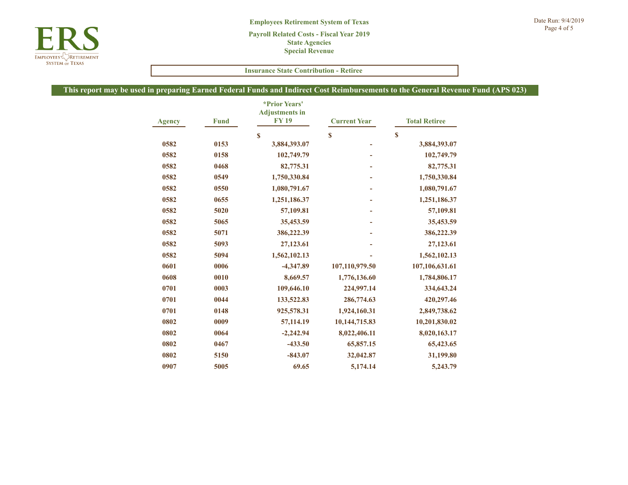

|               |             | <b>Insurance State Contribution - Retiree</b>         |                     |                                                                                                        |  |
|---------------|-------------|-------------------------------------------------------|---------------------|--------------------------------------------------------------------------------------------------------|--|
|               |             |                                                       |                     | n preparing Earned Federal Funds and Indirect Cost Reimbursements to the General Revenue Fund (APS 023 |  |
| <b>Agency</b> | <b>Fund</b> | *Prior Years'<br><b>Adjustments</b> in<br><b>FY19</b> | <b>Current Year</b> | <b>Total Retiree</b>                                                                                   |  |
|               |             | \$                                                    | $\mathbf S$         | S                                                                                                      |  |
| 0582          | 0153        | 3,884,393.07                                          |                     | 3,884,393.07                                                                                           |  |
| 0582          | 0158        | 102,749.79                                            |                     | 102,749.79                                                                                             |  |
| 0582          | 0468        | 82,775.31                                             | L,                  | 82,775.31                                                                                              |  |
| 0582          | 0549        | 1,750,330.84                                          |                     | 1,750,330.84                                                                                           |  |
| 0582          | 0550        | 1,080,791.67                                          |                     | 1,080,791.67                                                                                           |  |
| 0582          | 0655        | 1,251,186.37                                          |                     | 1,251,186.37                                                                                           |  |
| 0582          | 5020        | 57,109.81                                             |                     | 57,109.81                                                                                              |  |
| 0582          | 5065        | 35,453.59                                             |                     | 35,453.59                                                                                              |  |
| 0582          | 5071        | 386,222.39                                            |                     | 386,222.39                                                                                             |  |
| 0582          | 5093        | 27,123.61                                             |                     | 27,123.61                                                                                              |  |
| 0582          | 5094        | 1,562,102.13                                          |                     | 1,562,102.13                                                                                           |  |
| 0601          | 0006        | $-4,347.89$                                           | 107,110,979.50      | 107,106,631.61                                                                                         |  |
| 0608          | 0010        | 8,669.57                                              | 1,776,136.60        | 1,784,806.17                                                                                           |  |
| 0701          | 0003        | 109,646.10                                            | 224,997.14          | 334,643.24                                                                                             |  |
| 0701          | 0044        | 133,522.83                                            | 286,774.63          | 420,297.46                                                                                             |  |
| 0701          | 0148        | 925,578.31                                            | 1,924,160.31        | 2,849,738.62                                                                                           |  |
| 0802          | 0009        | 57,114.19                                             | 10,144,715.83       | 10,201,830.02                                                                                          |  |
| 0802          | 0064        | $-2,242.94$                                           | 8,022,406.11        | 8,020,163.17                                                                                           |  |
| 0802          | 0467        | $-433.50$                                             | 65,857.15           | 65,423.65                                                                                              |  |
| 0802          | 5150        | $-843.07$                                             | 32,042.87           | 31,199.80                                                                                              |  |
| 0907          | 5005        | 69.65                                                 | 5,174.14            | 5,243.79                                                                                               |  |